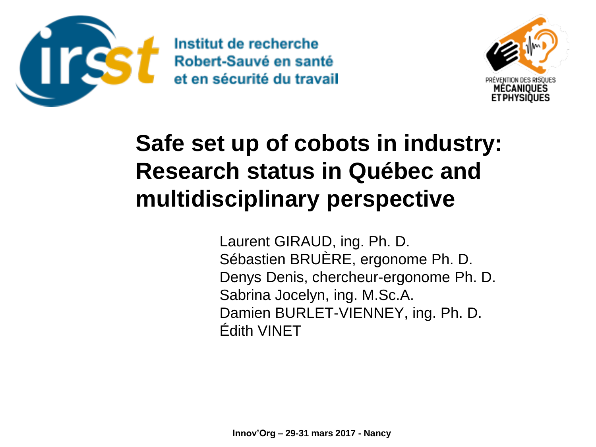



# **Safe set up of cobots in industry: Research status in Québec and multidisciplinary perspective**

Laurent GIRAUD, ing. Ph. D. Sébastien BRUÈRE, ergonome Ph. D. Denys Denis, chercheur-ergonome Ph. D. Sabrina Jocelyn, ing. M.Sc.A. Damien BURLET-VIENNEY, ing. Ph. D. Édith VINET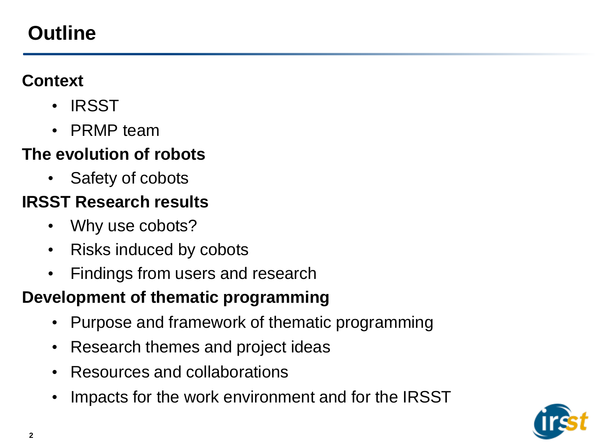## **Outline**

#### **Context**

- IRSST
- PRMP team

### **The evolution of robots**

• Safety of cobots

## **IRSST Research results**

- Why use cobots?
- Risks induced by cobots
- Findings from users and research

### **Development of thematic programming**

- Purpose and framework of thematic programming
- Research themes and project ideas
- Resources and collaborations
- Impacts for the work environment and for the IRSST

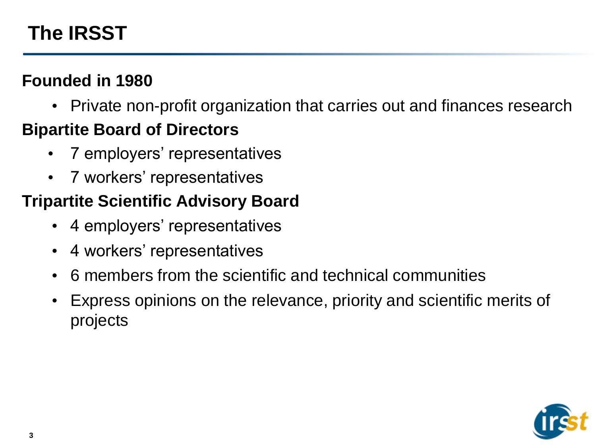## **The IRSST**

### **Founded in 1980**

• Private non-profit organization that carries out and finances research

### **Bipartite Board of Directors**

- 7 employers' representatives
- 7 workers' representatives

### **Tripartite Scientific Advisory Board**

- 4 employers' representatives
- 4 workers' representatives
- 6 members from the scientific and technical communities
- Express opinions on the relevance, priority and scientific merits of projects

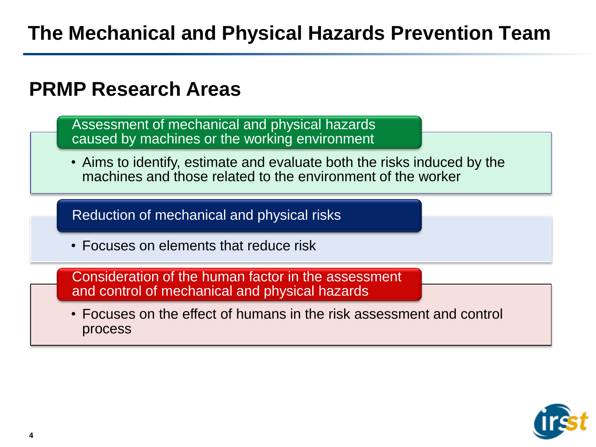## **PRMP Research Areas**

Assessment of mechanical and physical hazards caused by machines or the working environment

• Aims to identify, estimate and evaluate both the risks induced by the machines and those related to the environment of the worker

Reduction of mechanical and physical risks

• Focuses on elements that reduce risk

Consideration of the human factor in the assessment and control of mechanical and physical hazards

• Focuses on the effect of humans in the risk assessment and control process

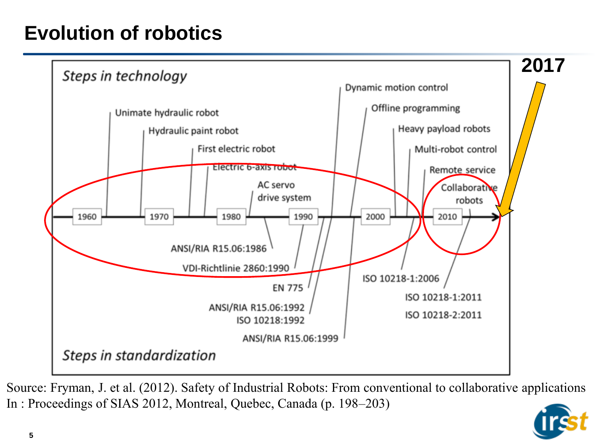## **Evolution of robotics**



Source: Fryman, J. et al. (2012). Safety of Industrial Robots: From conventional to collaborative applications In : Proceedings of SIAS 2012, Montreal, Quebec, Canada (p. 198–203)

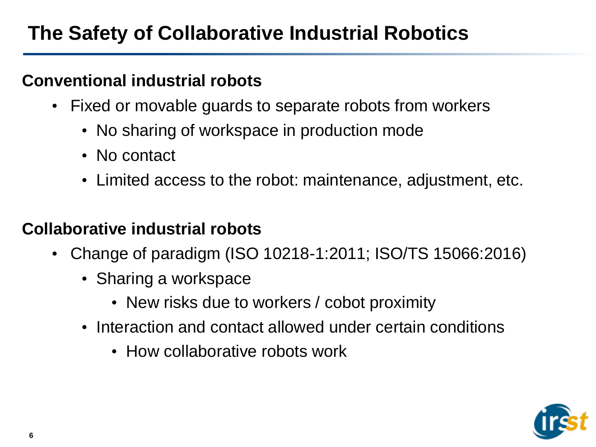## **The Safety of Collaborative Industrial Robotics**

#### **Conventional industrial robots**

- Fixed or movable guards to separate robots from workers
	- No sharing of workspace in production mode
	- No contact
	- Limited access to the robot: maintenance, adjustment, etc.

### **Collaborative industrial robots**

- Change of paradigm (ISO 10218-1:2011; ISO/TS 15066:2016)
	- Sharing a workspace
		- New risks due to workers / cobot proximity
	- Interaction and contact allowed under certain conditions
		- How collaborative robots work

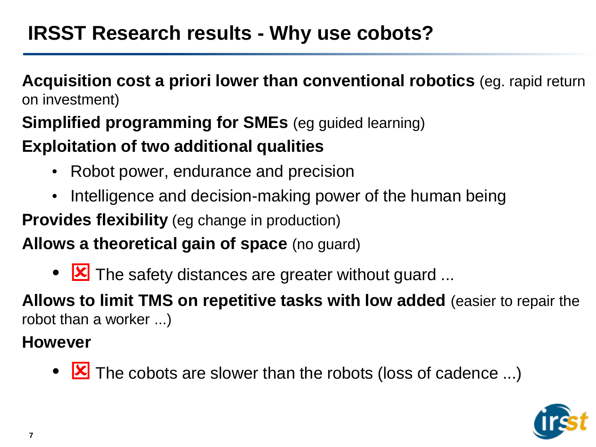## **IRSST Research results - Why use cobots?**

#### **Acquisition cost a priori lower than conventional robotics** (eg. rapid return on investment)

### **Simplified programming for SMEs** (eg guided learning) **Exploitation of two additional qualities**

- Robot power, endurance and precision
- Intelligence and decision-making power of the human being

**Provides flexibility** (eg change in production)

**Allows a theoretical gain of space** (no guard)

•  $\boxed{\times}$  The safety distances are greater without guard ...

**Allows to limit TMS on repetitive tasks with low added** (easier to repair the robot than a worker ...)

#### **However**

•  $\boxed{\mathbf{x}}$  The cobots are slower than the robots (loss of cadence ...)

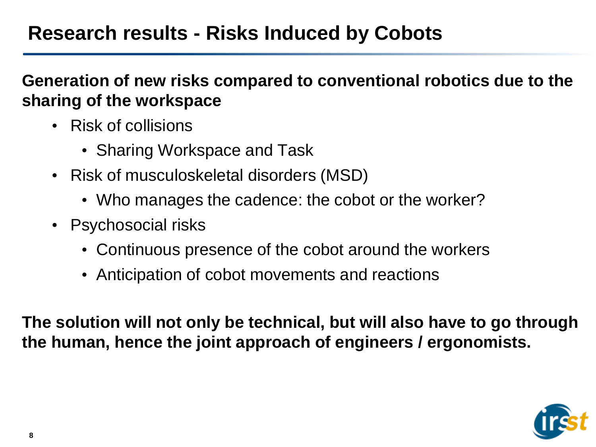## **Research results - Risks Induced by Cobots**

#### **Generation of new risks compared to conventional robotics due to the sharing of the workspace**

- Risk of collisions
	- Sharing Workspace and Task
- Risk of musculoskeletal disorders (MSD)
	- Who manages the cadence: the cobot or the worker?
- Psychosocial risks
	- Continuous presence of the cobot around the workers
	- Anticipation of cobot movements and reactions

**The solution will not only be technical, but will also have to go through the human, hence the joint approach of engineers / ergonomists.**

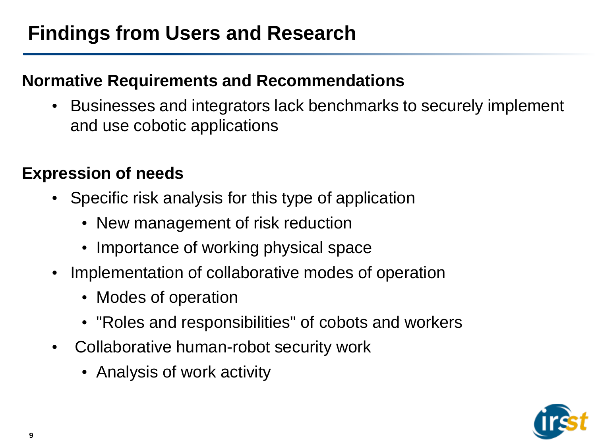## **Findings from Users and Research**

#### **Normative Requirements and Recommendations**

• Businesses and integrators lack benchmarks to securely implement and use cobotic applications

#### **Expression of needs**

- Specific risk analysis for this type of application
	- New management of risk reduction
	- Importance of working physical space
- Implementation of collaborative modes of operation
	- Modes of operation
	- "Roles and responsibilities" of cobots and workers
- Collaborative human-robot security work
	- Analysis of work activity

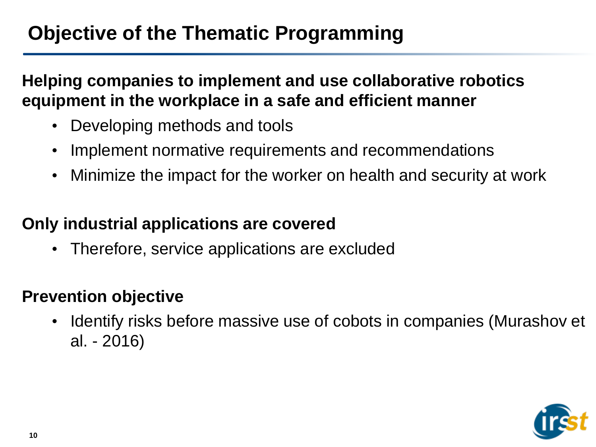## **Objective of the Thematic Programming**

**Helping companies to implement and use collaborative robotics equipment in the workplace in a safe and efficient manner**

- Developing methods and tools
- Implement normative requirements and recommendations
- Minimize the impact for the worker on health and security at work

#### **Only industrial applications are covered**

• Therefore, service applications are excluded

#### **Prevention objective**

• Identify risks before massive use of cobots in companies (Murashov et al. - 2016)

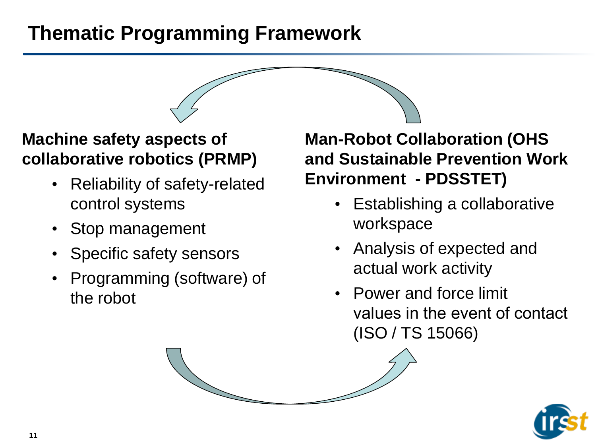## **Thematic Programming Framework**

### **Machine safety aspects of collaborative robotics (PRMP)**

- Reliability of safety-related control systems
- Stop management
- Specific safety sensors
- Programming (software) of the robot

**Man-Robot Collaboration (OHS and Sustainable Prevention Work Environment - PDSSTET)**

- Establishing a collaborative workspace
- Analysis of expected and actual work activity
- Power and force limit values in the event of contact (ISO / TS 15066)

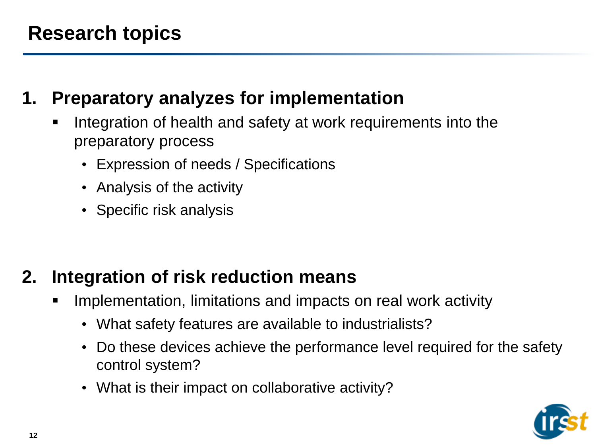### **1. Preparatory analyzes for implementation**

- Integration of health and safety at work requirements into the preparatory process
	- Expression of needs / Specifications
	- Analysis of the activity
	- Specific risk analysis

### **2. Integration of risk reduction means**

- Implementation, limitations and impacts on real work activity
	- What safety features are available to industrialists?
	- Do these devices achieve the performance level required for the safety control system?
	- What is their impact on collaborative activity?

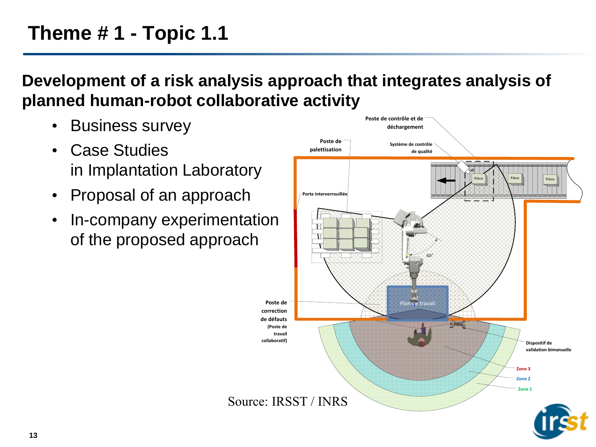## **Theme # 1 - Topic 1.1**

#### **Development of a risk analysis approach that integrates analysis of planned human-robot collaborative activity**

- Business survey
- Case Studies in Implantation Laboratory
- Proposal of an approach
- In-company experimentation of the proposed approach

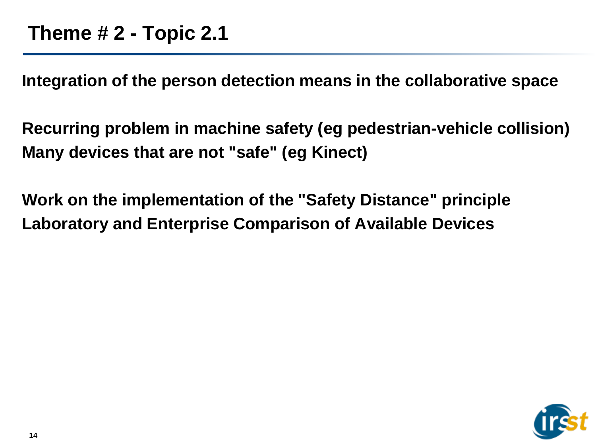**Integration of the person detection means in the collaborative space**

**Recurring problem in machine safety (eg pedestrian-vehicle collision) Many devices that are not "safe" (eg Kinect)**

**Work on the implementation of the "Safety Distance" principle Laboratory and Enterprise Comparison of Available Devices**

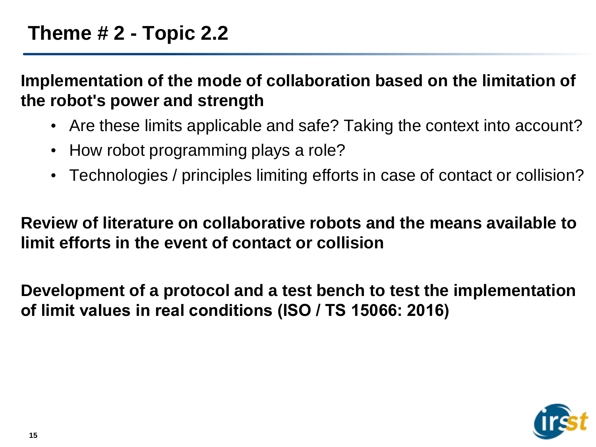**Implementation of the mode of collaboration based on the limitation of the robot's power and strength**

- Are these limits applicable and safe? Taking the context into account?
- How robot programming plays a role?
- Technologies / principles limiting efforts in case of contact or collision?

**Review of literature on collaborative robots and the means available to limit efforts in the event of contact or collision**

**Development of a protocol and a test bench to test the implementation of limit values in real conditions (ISO / TS 15066: 2016)**

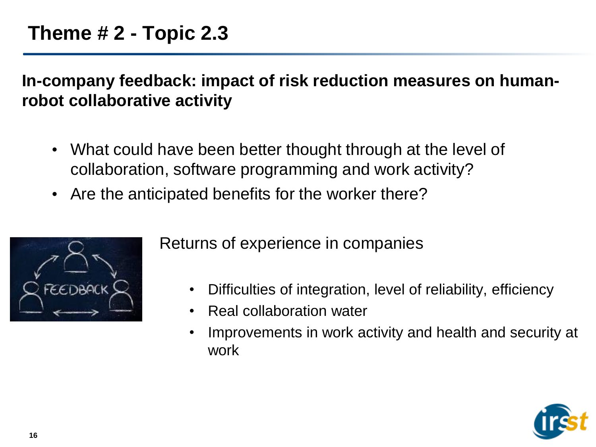**In-company feedback: impact of risk reduction measures on humanrobot collaborative activity**

- What could have been better thought through at the level of collaboration, software programming and work activity?
- Are the anticipated benefits for the worker there?



Returns of experience in companies

- Difficulties of integration, level of reliability, efficiency
- Real collaboration water
- Improvements in work activity and health and security at work

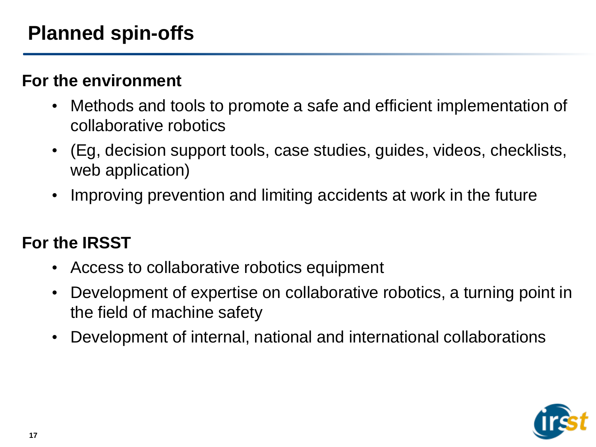#### **For the environment**

- Methods and tools to promote a safe and efficient implementation of collaborative robotics
- (Eg, decision support tools, case studies, guides, videos, checklists, web application)
- Improving prevention and limiting accidents at work in the future

### **For the IRSST**

- Access to collaborative robotics equipment
- Development of expertise on collaborative robotics, a turning point in the field of machine safety
- Development of internal, national and international collaborations